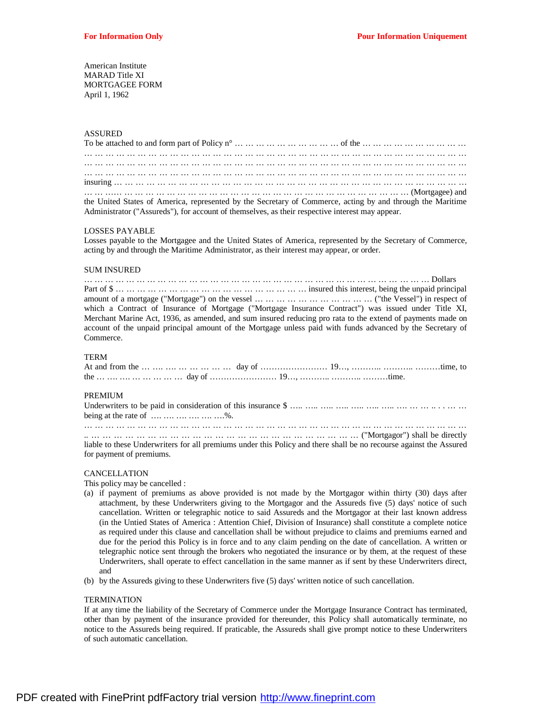American Institute MARAD Title XI MORTGAGEE FORM April 1, 1962

# ASSURED

| the United States of America, represented by the Secretary of Commerce, acting by and through the Maritime |  |  |  |  |  |  |  |  |  |  |  |  |  |  |  |  |  |  |
|------------------------------------------------------------------------------------------------------------|--|--|--|--|--|--|--|--|--|--|--|--|--|--|--|--|--|--|
| Administrator ("Assureds"), for account of themselves, as their respective interest may appear.            |  |  |  |  |  |  |  |  |  |  |  |  |  |  |  |  |  |  |

#### LOSSES PAYABLE

Losses payable to the Mortgagee and the United States of America, represented by the Secretary of Commerce, acting by and through the Maritime Administrator, as their interest may appear, or order.

#### SUM INSURED

| which a Contract of Insurance of Mortgage ("Mortgage Insurance Contract") was issued under Title XI,       |  |
|------------------------------------------------------------------------------------------------------------|--|
| Merchant Marine Act, 1936, as amended, and sum insured reducing pro rata to the extend of payments made on |  |
| account of the unpaid principal amount of the Mortgage unless paid with funds advanced by the Secretary of |  |
| Commerce.                                                                                                  |  |

## TERM

# PREMIUM

| being at the rate of $\dots \dots \dots \dots \dots \dots$ %.                                                      |
|--------------------------------------------------------------------------------------------------------------------|
|                                                                                                                    |
|                                                                                                                    |
| liable to these Underwriters for all premiums under this Policy and there shall be no recourse against the Assured |
| for payment of premiums.                                                                                           |

#### CANCELLATION

This policy may be cancelled :

- (a) if payment of premiums as above provided is not made by the Mortgagor within thirty (30) days after attachment, by these Underwriters giving to the Mortgagor and the Assureds five (5) days' notice of such cancellation. Written or telegraphic notice to said Assureds and the Mortgagor at their last known address (in the Untied States of America : Attention Chief, Division of Insurance) shall constitute a complete notice as required under this clause and cancellation shall be without prejudice to claims and premiums earned and due for the period this Policy is in force and to any claim pending on the date of cancellation. A written or telegraphic notice sent through the brokers who negotiated the insurance or by them, at the request of these Underwriters, shall operate to effect cancellation in the same manner as if sent by these Underwriters direct, and
- (b) by the Assureds giving to these Underwriters five (5) days' written notice of such cancellation.

#### **TERMINATION**

If at any time the liability of the Secretary of Commerce under the Mortgage Insurance Contract has terminated, other than by payment of the insurance provided for thereunder, this Policy shall automatically terminate, no notice to the Assureds being required. If praticable, the Assureds shall give prompt notice to these Underwriters of such automatic cancellation.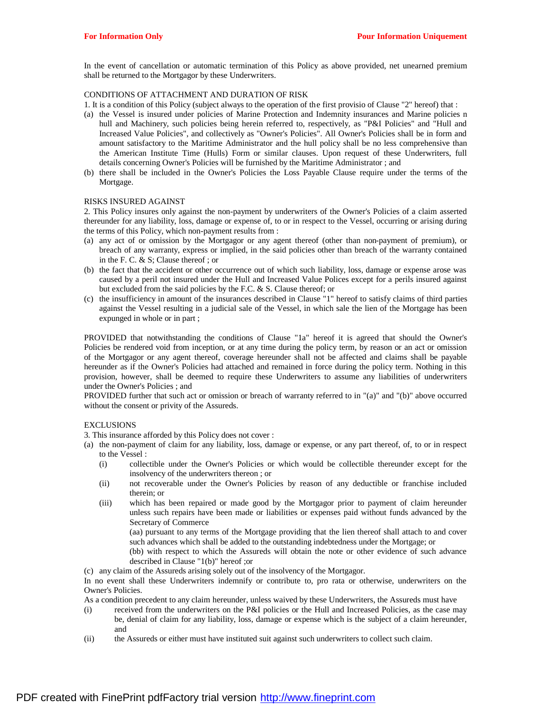In the event of cancellation or automatic termination of this Policy as above provided, net unearned premium shall be returned to the Mortgagor by these Underwriters.

## CONDITIONS OF ATTACHMENT AND DURATION OF RISK

1. It is a condition of this Policy (subject always to the operation of the first provisio of Clause "2" hereof) that :

- (a) the Vessel is insured under policies of Marine Protection and Indemnity insurances and Marine policies n hull and Machinery, such policies being herein referred to, respectively, as "P&I Policies" and "Hull and Increased Value Policies", and collectively as "Owner's Policies". All Owner's Policies shall be in form and amount satisfactory to the Maritime Administrator and the hull policy shall be no less comprehensive than the American Institute Time (Hulls) Form or similar clauses. Upon request of these Underwriters, full details concerning Owner's Policies will be furnished by the Maritime Administrator ; and
- (b) there shall be included in the Owner's Policies the Loss Payable Clause require under the terms of the Mortgage.

#### RISKS INSURED AGAINST

2. This Policy insures only against the non-payment by underwriters of the Owner's Policies of a claim asserted thereunder for any liability, loss, damage or expense of, to or in respect to the Vessel, occurring or arising during the terms of this Policy, which non-payment results from :

- (a) any act of or omission by the Mortgagor or any agent thereof (other than non-payment of premium), or breach of any warranty, express or implied, in the said policies other than breach of the warranty contained in the F. C. & S; Clause thereof ; or
- (b) the fact that the accident or other occurrence out of which such liability, loss, damage or expense arose was caused by a peril not insured under the Hull and Increased Value Polices except for a perils insured against but excluded from the said policies by the F.C. & S. Clause thereof; or
- (c) the insufficiency in amount of the insurances described in Clause "1" hereof to satisfy claims of third parties against the Vessel resulting in a judicial sale of the Vessel, in which sale the lien of the Mortgage has been expunged in whole or in part ;

PROVIDED that notwithstanding the conditions of Clause "1a" hereof it is agreed that should the Owner's Policies be rendered void from inception, or at any time during the policy term, by reason or an act or omission of the Mortgagor or any agent thereof, coverage hereunder shall not be affected and claims shall be payable hereunder as if the Owner's Policies had attached and remained in force during the policy term. Nothing in this provision, however, shall be deemed to require these Underwriters to assume any liabilities of underwriters under the Owner's Policies ; and

PROVIDED further that such act or omission or breach of warranty referred to in "(a)" and "(b)" above occurred without the consent or privity of the Assureds.

# **EXCLUSIONS**

3. This insurance afforded by this Policy does not cover :

- (a) the non-payment of claim for any liability, loss, damage or expense, or any part thereof, of, to or in respect to the Vessel :
	- (i) collectible under the Owner's Policies or which would be collectible thereunder except for the insolvency of the underwriters thereon ; or
	- (ii) not recoverable under the Owner's Policies by reason of any deductible or franchise included therein; or
	- (iii) which has been repaired or made good by the Mortgagor prior to payment of claim hereunder unless such repairs have been made or liabilities or expenses paid without funds advanced by the Secretary of Commerce

(aa) pursuant to any terms of the Mortgage providing that the lien thereof shall attach to and cover such advances which shall be added to the outstanding indebtedness under the Mortgage; or

(bb) with respect to which the Assureds will obtain the note or other evidence of such advance described in Clause "1(b)" hereof ;or

(c) any claim of the Assureds arising solely out of the insolvency of the Mortgagor.

In no event shall these Underwriters indemnify or contribute to, pro rata or otherwise, underwriters on the Owner's Policies.

As a condition precedent to any claim hereunder, unless waived by these Underwriters, the Assureds must have

- (i) received from the underwriters on the P&I policies or the Hull and Increased Policies, as the case may be, denial of claim for any liability, loss, damage or expense which is the subject of a claim hereunder, and
- (ii) the Assureds or either must have instituted suit against such underwriters to collect such claim.